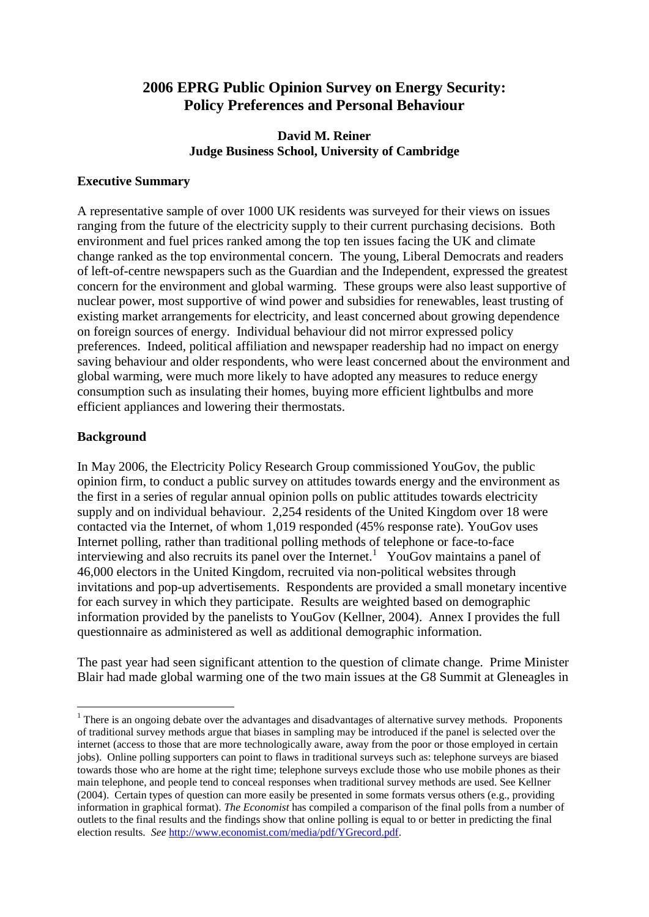# **2006 EPRG Public Opinion Survey on Energy Security: Policy Preferences and Personal Behaviour**

## **David M. Reiner Judge Business School, University of Cambridge**

#### **Executive Summary**

A representative sample of over 1000 UK residents was surveyed for their views on issues ranging from the future of the electricity supply to their current purchasing decisions. Both environment and fuel prices ranked among the top ten issues facing the UK and climate change ranked as the top environmental concern. The young, Liberal Democrats and readers of left-of-centre newspapers such as the Guardian and the Independent, expressed the greatest concern for the environment and global warming. These groups were also least supportive of nuclear power, most supportive of wind power and subsidies for renewables, least trusting of existing market arrangements for electricity, and least concerned about growing dependence on foreign sources of energy. Individual behaviour did not mirror expressed policy preferences. Indeed, political affiliation and newspaper readership had no impact on energy saving behaviour and older respondents, who were least concerned about the environment and global warming, were much more likely to have adopted any measures to reduce energy consumption such as insulating their homes, buying more efficient lightbulbs and more efficient appliances and lowering their thermostats.

#### **Background**

 $\overline{a}$ 

In May 2006, the Electricity Policy Research Group commissioned YouGov, the public opinion firm, to conduct a public survey on attitudes towards energy and the environment as the first in a series of regular annual opinion polls on public attitudes towards electricity supply and on individual behaviour. 2,254 residents of the United Kingdom over 18 were contacted via the Internet, of whom 1,019 responded (45% response rate). YouGov uses Internet polling, rather than traditional polling methods of telephone or face-to-face interviewing and also recruits its panel over the Internet.<sup>1</sup> YouGov maintains a panel of 46,000 electors in the United Kingdom, recruited via non-political websites through invitations and pop-up advertisements. Respondents are provided a small monetary incentive for each survey in which they participate. Results are weighted based on demographic information provided by the panelists to YouGov (Kellner, 2004). Annex I provides the full questionnaire as administered as well as additional demographic information.

The past year had seen significant attention to the question of climate change. Prime Minister Blair had made global warming one of the two main issues at the G8 Summit at Gleneagles in

<sup>&</sup>lt;sup>1</sup> There is an ongoing debate over the advantages and disadvantages of alternative survey methods. Proponents of traditional survey methods argue that biases in sampling may be introduced if the panel is selected over the internet (access to those that are more technologically aware, away from the poor or those employed in certain jobs). Online polling supporters can point to flaws in traditional surveys such as: telephone surveys are biased towards those who are home at the right time; telephone surveys exclude those who use mobile phones as their main telephone, and people tend to conceal responses when traditional survey methods are used. See Kellner (2004). Certain types of question can more easily be presented in some formats versus others (e.g., providing information in graphical format). *The Economist* has compiled a comparison of the final polls from a number of outlets to the final results and the findings show that online polling is equal to or better in predicting the final election results. *See* [http://www.economist.com/media/pdf/YGrecord.pdf.](http://www.economist.com/media/pdf/YGrecord.pdf)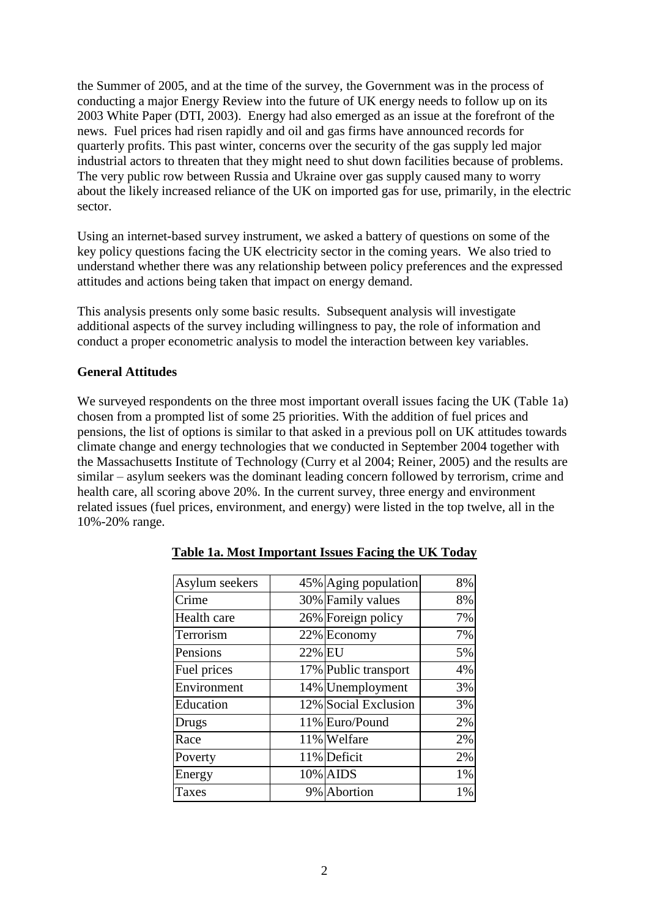the Summer of 2005, and at the time of the survey, the Government was in the process of conducting a major Energy Review into the future of UK energy needs to follow up on its 2003 White Paper (DTI, 2003). Energy had also emerged as an issue at the forefront of the news. Fuel prices had risen rapidly and oil and gas firms have announced records for quarterly profits. This past winter, concerns over the security of the gas supply led major industrial actors to threaten that they might need to shut down facilities because of problems. The very public row between Russia and Ukraine over gas supply caused many to worry about the likely increased reliance of the UK on imported gas for use, primarily, in the electric sector.

Using an internet-based survey instrument, we asked a battery of questions on some of the key policy questions facing the UK electricity sector in the coming years. We also tried to understand whether there was any relationship between policy preferences and the expressed attitudes and actions being taken that impact on energy demand.

This analysis presents only some basic results. Subsequent analysis will investigate additional aspects of the survey including willingness to pay, the role of information and conduct a proper econometric analysis to model the interaction between key variables.

### **General Attitudes**

We surveyed respondents on the three most important overall issues facing the UK (Table 1a) chosen from a prompted list of some 25 priorities. With the addition of fuel prices and pensions, the list of options is similar to that asked in a previous poll on UK attitudes towards climate change and energy technologies that we conducted in September 2004 together with the Massachusetts Institute of Technology (Curry et al 2004; Reiner, 2005) and the results are similar – asylum seekers was the dominant leading concern followed by terrorism, crime and health care, all scoring above 20%. In the current survey, three energy and environment related issues (fuel prices, environment, and energy) were listed in the top twelve, all in the 10%-20% range.

| Asylum seekers |        | 45% Aging population | 8% |
|----------------|--------|----------------------|----|
| Crime          |        | 30% Family values    | 8% |
| Health care    |        | 26% Foreign policy   | 7% |
| Terrorism      |        | 22% Economy          | 7% |
| Pensions       | 22% EU |                      | 5% |
| Fuel prices    |        | 17% Public transport | 4% |
| Environment    |        | 14% Unemployment     | 3% |
| Education      |        | 12% Social Exclusion | 3% |
| Drugs          |        | 11% Euro/Pound       | 2% |
| Race           |        | 11% Welfare          | 2% |
| Poverty        |        | 11% Deficit          | 2% |
| Energy         |        | 10% AIDS             | 1% |
| <b>Taxes</b>   |        | 9% Abortion          | 1% |

### **Table 1a. Most Important Issues Facing the UK Today**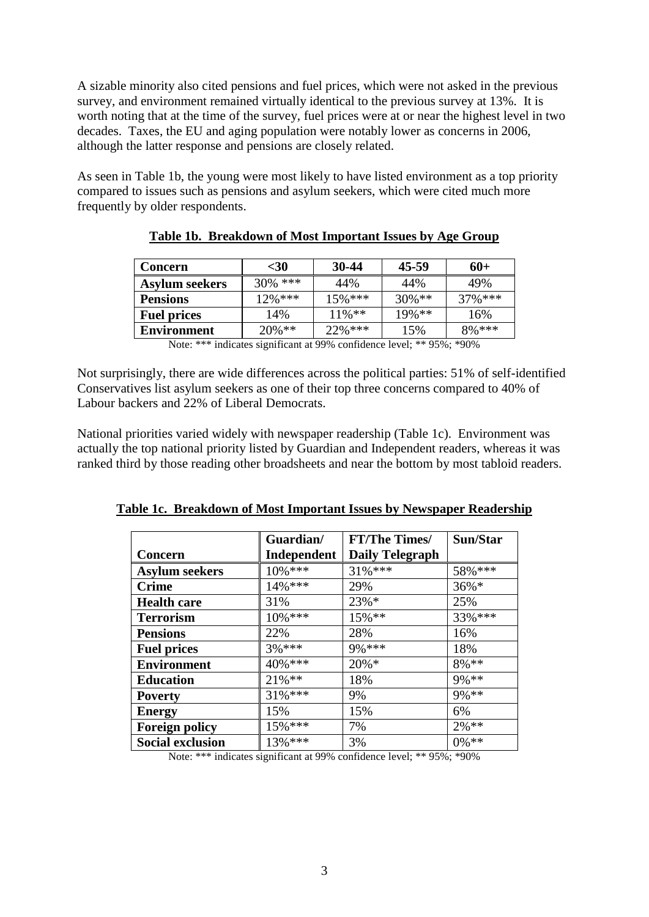A sizable minority also cited pensions and fuel prices, which were not asked in the previous survey, and environment remained virtually identical to the previous survey at 13%. It is worth noting that at the time of the survey, fuel prices were at or near the highest level in two decades. Taxes, the EU and aging population were notably lower as concerns in 2006, although the latter response and pensions are closely related.

As seen in Table 1b, the young were most likely to have listed environment as a top priority compared to issues such as pensions and asylum seekers, which were cited much more frequently by older respondents.

| <b>Concern</b>        | $30$       | 30-44      | 45-59     | $60+$      |
|-----------------------|------------|------------|-----------|------------|
| <b>Asylum seekers</b> | $30\%$ *** | 44%        | 44%       | 49%        |
| <b>Pensions</b>       | $12\%$ *** | $15\%$ *** | $30\%**$  | $37\%$ *** |
| <b>Fuel prices</b>    | 14%        | $11\%$ **  | $19\%$ ** | 16%        |
| <b>Environment</b>    | $20\%$ **  | $22\%$ *** | 15%       | $8%***$    |

|  |  | Table 1b. Breakdown of Most Important Issues by Age Group |
|--|--|-----------------------------------------------------------|
|  |  |                                                           |

Note: \*\*\* indicates significant at 99% confidence level; \*\* 95%; \*90%

Not surprisingly, there are wide differences across the political parties: 51% of self-identified Conservatives list asylum seekers as one of their top three concerns compared to 40% of Labour backers and 22% of Liberal Democrats.

National priorities varied widely with newspaper readership (Table 1c). Environment was actually the top national priority listed by Guardian and Independent readers, whereas it was ranked third by those reading other broadsheets and near the bottom by most tabloid readers.

|                         | Guardian/   | <b>FT/The Times/</b>   | Sun/Star |
|-------------------------|-------------|------------------------|----------|
| Concern                 | Independent | <b>Daily Telegraph</b> |          |
| <b>Asylum seekers</b>   | $10\%$ ***  | 31%***                 | 58% ***  |
| <b>Crime</b>            | 14%***      | 29%                    | $36\% *$ |
| <b>Health care</b>      | 31%         | $23%$ *                | 25%      |
| <b>Terrorism</b>        | 10%***      | $15\%$ **              | 33% ***  |
| <b>Pensions</b>         | 22%         | 28%                    | 16%      |
| <b>Fuel prices</b>      | $3\%***$    | 9% ***                 | 18%      |
| <b>Environment</b>      | 40%***      | $20\% *$               | 8%**     |
| <b>Education</b>        | $21\%$ **   | 18%                    | 9%**     |
| <b>Poverty</b>          | $31\%***$   | 9%                     | 9%**     |
| <b>Energy</b>           | 15%         | 15%                    | 6%       |
| <b>Foreign policy</b>   | $15\%$ ***  | 7%                     | $2\%$ ** |
| <b>Social exclusion</b> | 13%***      | 3%                     | $0\%$ ** |

**Table 1c. Breakdown of Most Important Issues by Newspaper Readership**

Note: \*\*\* indicates significant at 99% confidence level; \*\* 95%; \*90%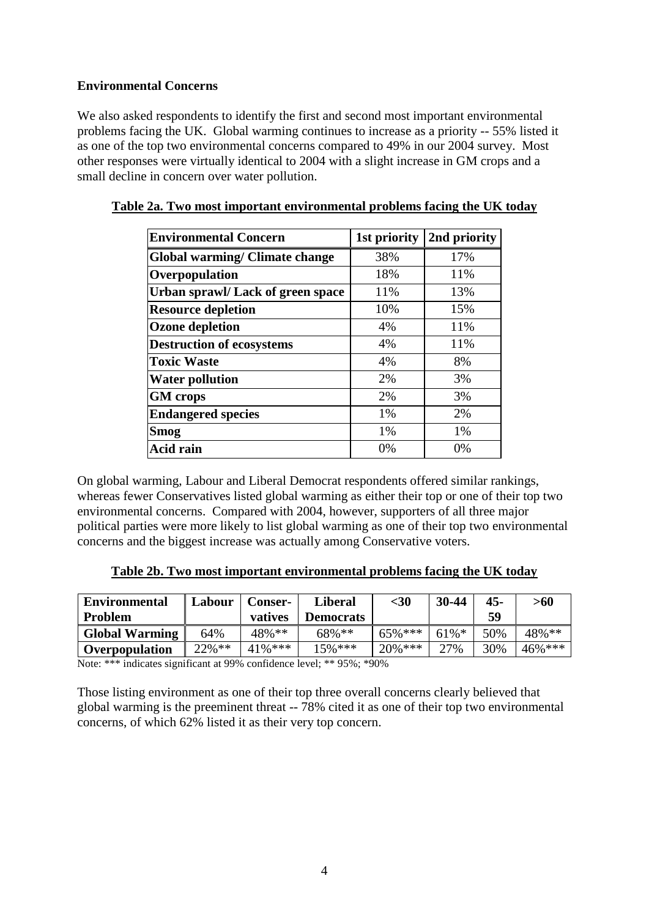## **Environmental Concerns**

We also asked respondents to identify the first and second most important environmental problems facing the UK. Global warming continues to increase as a priority -- 55% listed it as one of the top two environmental concerns compared to 49% in our 2004 survey. Most other responses were virtually identical to 2004 with a slight increase in GM crops and a small decline in concern over water pollution.

| <b>Environmental Concern</b>      | 1st priority | 2nd priority |
|-----------------------------------|--------------|--------------|
| Global warming/ Climate change    | 38%          | 17%          |
| Overpopulation                    | 18%          | 11%          |
| Urban sprawl/ Lack of green space | 11%          | 13%          |
| <b>Resource depletion</b>         | 10%          | 15%          |
| <b>Ozone depletion</b>            | 4%           | 11%          |
| <b>Destruction of ecosystems</b>  | 4%           | 11%          |
| <b>Toxic Waste</b>                | 4%           | 8%           |
| <b>Water pollution</b>            | 2%           | 3%           |
| <b>GM</b> crops                   | 2%           | 3%           |
| <b>Endangered species</b>         | 1%           | 2%           |
| Smog                              | 1%           | 1%           |
| Acid rain                         | 0%           | 0%           |

### **Table 2a. Two most important environmental problems facing the UK today**

On global warming, Labour and Liberal Democrat respondents offered similar rankings, whereas fewer Conservatives listed global warming as either their top or one of their top two environmental concerns. Compared with 2004, however, supporters of all three major political parties were more likely to list global warming as one of their top two environmental concerns and the biggest increase was actually among Conservative voters.

|  |  |  |  | Table 2b. Two most important environmental problems facing the UK today |  |  |  |
|--|--|--|--|-------------------------------------------------------------------------|--|--|--|
|--|--|--|--|-------------------------------------------------------------------------|--|--|--|

| <b>Environmental</b>  | Labour    | <b>Conser-</b> | <b>Liberal</b>   | $30$       | 30-44    | 45- | >60        |
|-----------------------|-----------|----------------|------------------|------------|----------|-----|------------|
| Problem               |           | vatives        | <b>Democrats</b> |            |          | 59  |            |
| <b>Global Warming</b> | 64%       | 48%**          | 68%**            | $65\%***$  | $61\%$ * | 50% | 48%**      |
| Overpopulation        | $22\%$ ** | $41\%***$      | $15%$ ***        | $20\%$ *** | 27%      | 30% | $46\%$ *** |

Note: \*\*\* indicates significant at 99% confidence level; \*\* 95%; \*90%

Those listing environment as one of their top three overall concerns clearly believed that global warming is the preeminent threat -- 78% cited it as one of their top two environmental concerns, of which 62% listed it as their very top concern.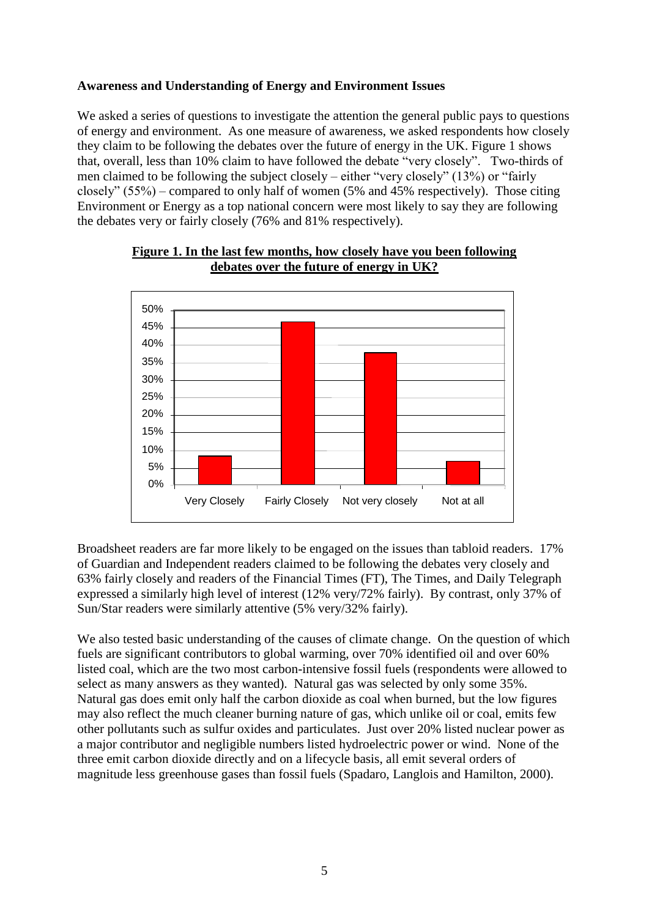## **Awareness and Understanding of Energy and Environment Issues**

We asked a series of questions to investigate the attention the general public pays to questions of energy and environment. As one measure of awareness, we asked respondents how closely they claim to be following the debates over the future of energy in the UK. Figure 1 shows that, overall, less than 10% claim to have followed the debate "very closely". Two-thirds of men claimed to be following the subject closely – either "very closely" (13%) or "fairly closely" (55%) – compared to only half of women (5% and 45% respectively). Those citing Environment or Energy as a top national concern were most likely to say they are following the debates very or fairly closely (76% and 81% respectively).



## **Figure 1. In the last few months, how closely have you been following debates over the future of energy in UK?**

Broadsheet readers are far more likely to be engaged on the issues than tabloid readers. 17% of Guardian and Independent readers claimed to be following the debates very closely and 63% fairly closely and readers of the Financial Times (FT), The Times, and Daily Telegraph expressed a similarly high level of interest (12% very/72% fairly). By contrast, only 37% of Sun/Star readers were similarly attentive (5% very/32% fairly).

We also tested basic understanding of the causes of climate change. On the question of which fuels are significant contributors to global warming, over 70% identified oil and over 60% listed coal, which are the two most carbon-intensive fossil fuels (respondents were allowed to select as many answers as they wanted). Natural gas was selected by only some 35%. Natural gas does emit only half the carbon dioxide as coal when burned, but the low figures may also reflect the much cleaner burning nature of gas, which unlike oil or coal, emits few other pollutants such as sulfur oxides and particulates. Just over 20% listed nuclear power as a major contributor and negligible numbers listed hydroelectric power or wind. None of the three emit carbon dioxide directly and on a lifecycle basis, all emit several orders of magnitude less greenhouse gases than fossil fuels (Spadaro, Langlois and Hamilton, 2000).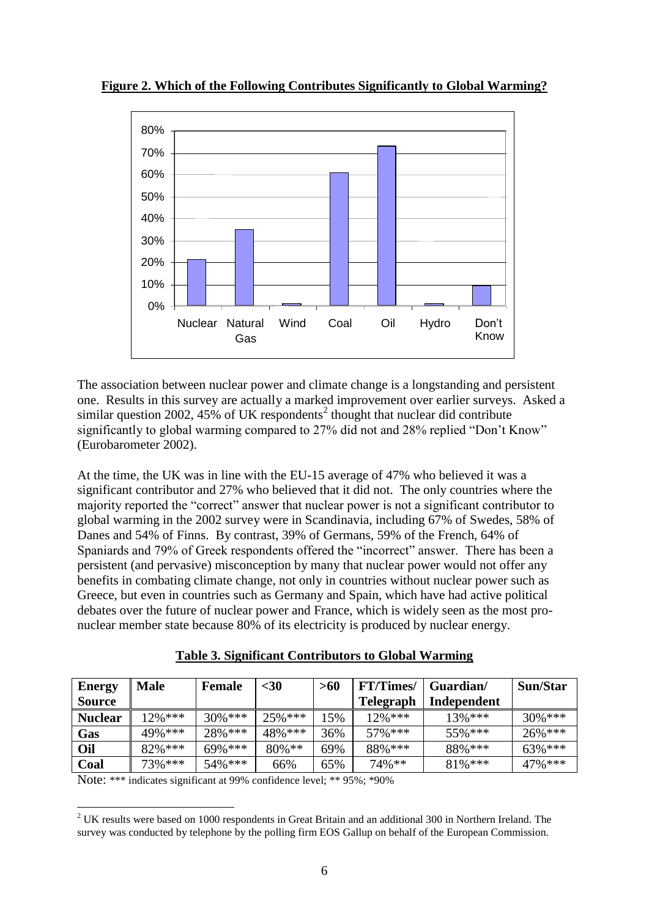

**Figure 2. Which of the Following Contributes Significantly to Global Warming?**

The association between nuclear power and climate change is a longstanding and persistent one. Results in this survey are actually a marked improvement over earlier surveys. Asked a similar question 2002, 45% of UK respondents<sup>2</sup> thought that nuclear did contribute significantly to global warming compared to 27% did not and 28% replied "Don"t Know" (Eurobarometer 2002).

At the time, the UK was in line with the EU-15 average of 47% who believed it was a significant contributor and 27% who believed that it did not. The only countries where the majority reported the "correct" answer that nuclear power is not a significant contributor to global warming in the 2002 survey were in Scandinavia, including 67% of Swedes, 58% of Danes and 54% of Finns. By contrast, 39% of Germans, 59% of the French, 64% of Spaniards and 79% of Greek respondents offered the "incorrect" answer. There has been a persistent (and pervasive) misconception by many that nuclear power would not offer any benefits in combating climate change, not only in countries without nuclear power such as Greece, but even in countries such as Germany and Spain, which have had active political debates over the future of nuclear power and France, which is widely seen as the most pronuclear member state because 80% of its electricity is produced by nuclear energy.

| <b>Table 3. Significant Contributors to Global Warming</b> |
|------------------------------------------------------------|
|------------------------------------------------------------|

| <b>Energy</b>  | <b>Male</b> | <b>Female</b> | $30$      | >60 | <b>FT/Times/</b> | Guardian/   | Sun/Star  |
|----------------|-------------|---------------|-----------|-----|------------------|-------------|-----------|
| <b>Source</b>  |             |               |           |     | <b>Telegraph</b> | Independent |           |
| <b>Nuclear</b> | $12\%$ ***  | $30\%$ ***    | 25% ***   | .5% | $12\%$ ***       | $13\%***$   | $30\%***$ |
| Gas            | 49%***      | 28%***        | 48%***    | 36% | $57\%$ ***       | 55%***      | $26\%***$ |
| Oil            | 82% ***     | $69\%$ ***    | $80\%$ ** | 69% | 88%***           | 88% ***     | $63\%***$ |
| Coal           | $73%***$    | $54\%$ ***    | 66%       | 65% | 74%**            | $81\%***$   | $47\%***$ |

Note: \*\*\* indicates significant at 99% confidence level; \*\* 95%; \*90%

 $\overline{a}$ 

<sup>&</sup>lt;sup>2</sup> UK results were based on 1000 respondents in Great Britain and an additional 300 in Northern Ireland. The survey was conducted by telephone by the polling firm EOS Gallup on behalf of the European Commission.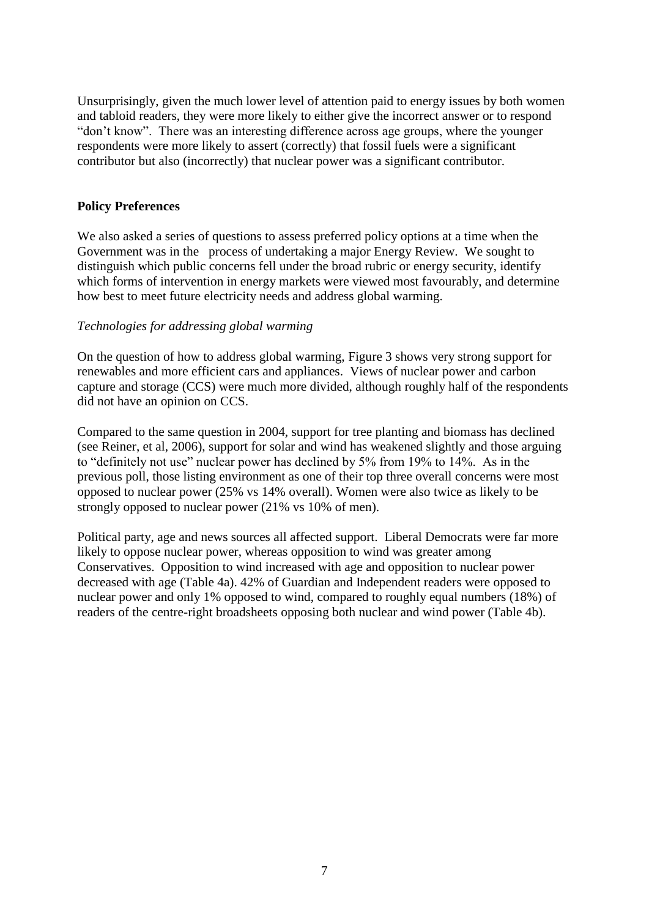Unsurprisingly, given the much lower level of attention paid to energy issues by both women and tabloid readers, they were more likely to either give the incorrect answer or to respond "don"t know". There was an interesting difference across age groups, where the younger respondents were more likely to assert (correctly) that fossil fuels were a significant contributor but also (incorrectly) that nuclear power was a significant contributor.

### **Policy Preferences**

We also asked a series of questions to assess preferred policy options at a time when the Government was in the process of undertaking a major Energy Review. We sought to distinguish which public concerns fell under the broad rubric or energy security, identify which forms of intervention in energy markets were viewed most favourably, and determine how best to meet future electricity needs and address global warming.

### *Technologies for addressing global warming*

On the question of how to address global warming, Figure 3 shows very strong support for renewables and more efficient cars and appliances. Views of nuclear power and carbon capture and storage (CCS) were much more divided, although roughly half of the respondents did not have an opinion on CCS.

Compared to the same question in 2004, support for tree planting and biomass has declined (see Reiner, et al, 2006), support for solar and wind has weakened slightly and those arguing to "definitely not use" nuclear power has declined by 5% from 19% to 14%. As in the previous poll, those listing environment as one of their top three overall concerns were most opposed to nuclear power (25% vs 14% overall). Women were also twice as likely to be strongly opposed to nuclear power (21% vs 10% of men).

Political party, age and news sources all affected support. Liberal Democrats were far more likely to oppose nuclear power, whereas opposition to wind was greater among Conservatives. Opposition to wind increased with age and opposition to nuclear power decreased with age (Table 4a). 42% of Guardian and Independent readers were opposed to nuclear power and only 1% opposed to wind, compared to roughly equal numbers (18%) of readers of the centre-right broadsheets opposing both nuclear and wind power (Table 4b).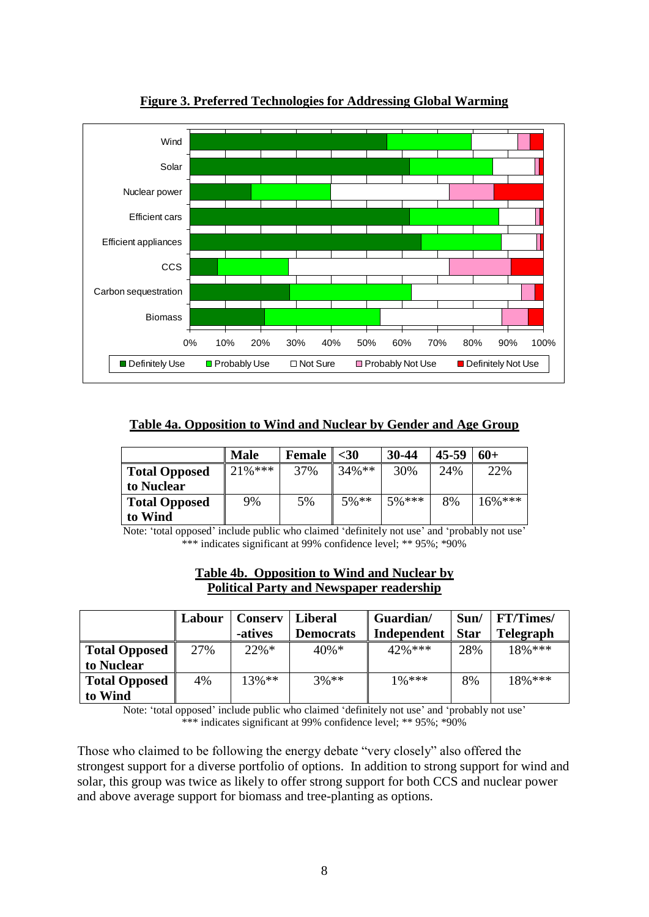

**Figure 3. Preferred Technologies for Addressing Global Warming**

**Table 4a. Opposition to Wind and Nuclear by Gender and Age Group**

|                      | <b>Male</b> | Female | $30$    | $30 - 44$ | 45-59 | $60+$     |
|----------------------|-------------|--------|---------|-----------|-------|-----------|
| <b>Total Opposed</b> | $21\%$ ***  | 37%    | 34%**   | 30%       | 24%   | 22%       |
| to Nuclear           |             |        |         |           |       |           |
| <b>Total Opposed</b> | 9%          | 5%     | $5\%**$ | $5\%***$  | 8%    | $16\%***$ |
| to Wind              |             |        |         |           |       |           |

Note: 'total opposed' include public who claimed 'definitely not use' and 'probably not use' \*\*\* indicates significant at 99% confidence level; \*\* 95%; \*90%

### **Table 4b. Opposition to Wind and Nuclear by Political Party and Newspaper readership**

|                      | Labour | <b>Conserv</b> | <b>Liberal</b>   | Guardian/   | Sun/        | <b>FT/Times/</b> |
|----------------------|--------|----------------|------------------|-------------|-------------|------------------|
|                      |        | -atives        | <b>Democrats</b> | Independent | <b>Star</b> | <b>Telegraph</b> |
| <b>Total Opposed</b> | 27%    | $22\%*$        | $40\% *$         | $42\%$ ***  | 28%         | $18\%$ ***       |
| to Nuclear           |        |                |                  |             |             |                  |
| <b>Total Opposed</b> | 4%     | $13\%**$       | $3\%**$          | $1\%***$    | 8%          | $18\%$ ***       |
| to Wind              |        |                |                  |             |             |                  |

Note: 'total opposed' include public who claimed 'definitely not use' and 'probably not use' \*\*\* indicates significant at 99% confidence level; \*\* 95%; \*90%

Those who claimed to be following the energy debate "very closely" also offered the strongest support for a diverse portfolio of options. In addition to strong support for wind and solar, this group was twice as likely to offer strong support for both CCS and nuclear power and above average support for biomass and tree-planting as options.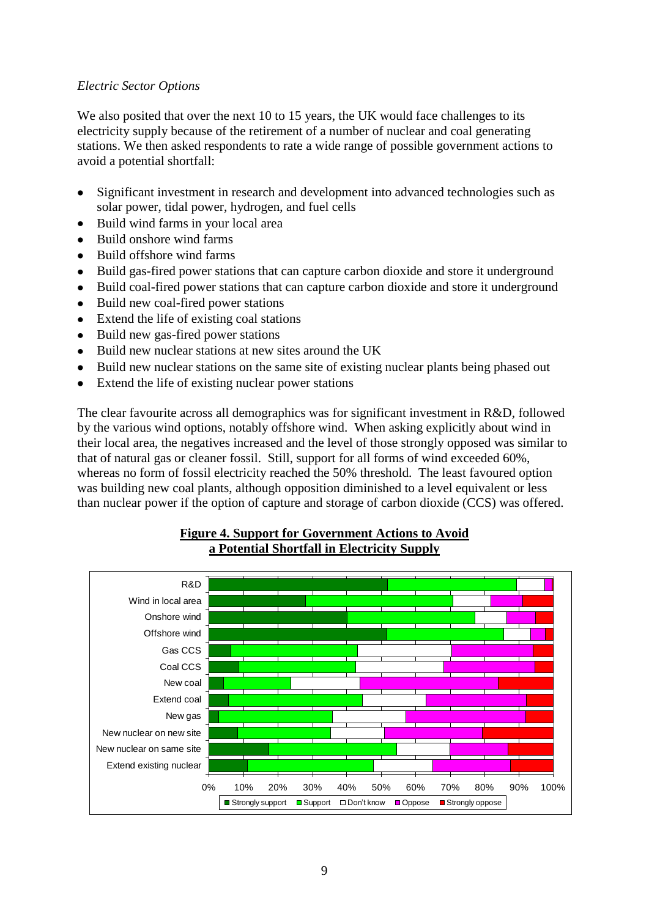### *Electric Sector Options*

We also posited that over the next 10 to 15 years, the UK would face challenges to its electricity supply because of the retirement of a number of nuclear and coal generating stations. We then asked respondents to rate a wide range of possible government actions to avoid a potential shortfall:

- Significant investment in research and development into advanced technologies such as solar power, tidal power, hydrogen, and fuel cells
- Build wind farms in your local area
- Build onshore wind farms  $\bullet$
- Build offshore wind farms  $\bullet$
- Build gas-fired power stations that can capture carbon dioxide and store it underground  $\bullet$
- Build coal-fired power stations that can capture carbon dioxide and store it underground  $\bullet$
- $\bullet$ Build new coal-fired power stations
- Extend the life of existing coal stations  $\bullet$
- Build new gas-fired power stations  $\bullet$
- $\bullet$ Build new nuclear stations at new sites around the UK
- $\bullet$ Build new nuclear stations on the same site of existing nuclear plants being phased out
- Extend the life of existing nuclear power stations

The clear favourite across all demographics was for significant investment in R&D, followed by the various wind options, notably offshore wind. When asking explicitly about wind in their local area, the negatives increased and the level of those strongly opposed was similar to that of natural gas or cleaner fossil. Still, support for all forms of wind exceeded 60%, whereas no form of fossil electricity reached the 50% threshold. The least favoured option was building new coal plants, although opposition diminished to a level equivalent or less than nuclear power if the option of capture and storage of carbon dioxide (CCS) was offered.



### **Figure 4. Support for Government Actions to Avoid a Potential Shortfall in Electricity Supply**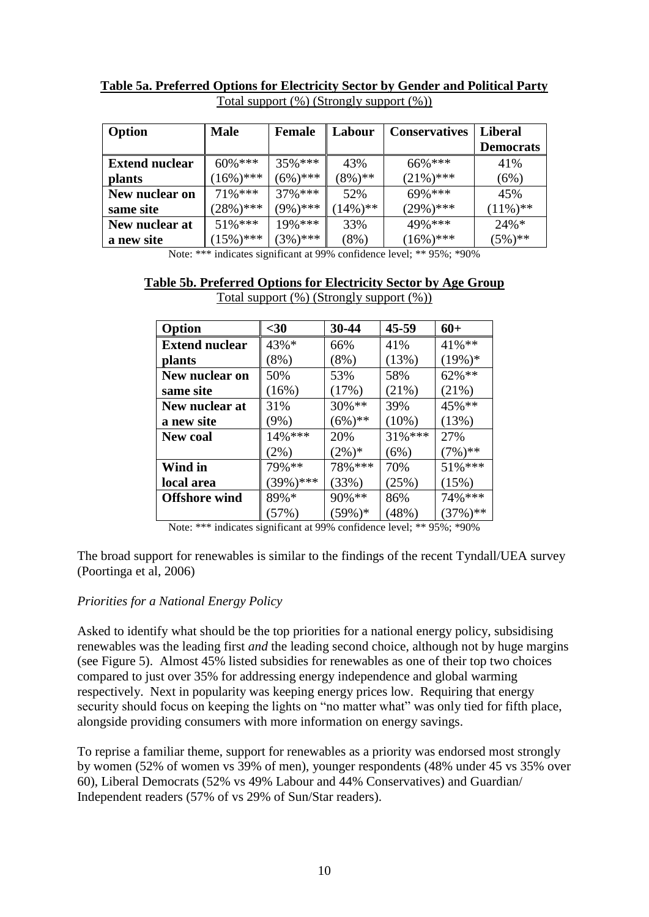| Option                | <b>Male</b>  | <b>Female</b> | Labour      | <b>Conservatives</b> | <b>Liberal</b>   |
|-----------------------|--------------|---------------|-------------|----------------------|------------------|
|                       |              |               |             |                      | <b>Democrats</b> |
| <b>Extend nuclear</b> | $60\%$ ***   | $35\%$ ***    | 43%         | 66%***               | 41%              |
| <b>plants</b>         | $(16\%)$ *** | $(6\%)$ ***   | $(8\%)$ **  | $(21\%)$ ***         | (6%)             |
| New nuclear on        | $71\%***$    | $37\%$ ***    | 52%         | 69% ***              | 45%              |
| same site             | $(28\%)$ *** | $(9\%)***$    | $(14\%)$ ** | $(29\%)$ ***         | $(11\%)$ **      |
| New nuclear at        | $51\%***$    | $19\%$ ***    | 33%         | 49% ***              | $24\% *$         |
| a new site            | $(15\%)$ *** | $(3%)***$     | $(8\%)$     | $(16\%)***$          | $(5%)$ **        |

**Table 5a. Preferred Options for Electricity Sector by Gender and Political Party** Total support (%) (Strongly support (%))

Note: \*\*\* indicates significant at 99% confidence level; \*\* 95%; \*90%

## **Table 5b. Preferred Options for Electricity Sector by Age Group**

| Option                | $30$         | 30-44      | 45-59    | $60+$       |
|-----------------------|--------------|------------|----------|-------------|
| <b>Extend nuclear</b> | 43%*         | 66%        | 41%      | 41%**       |
| <b>plants</b>         | $(8\%)$      | $(8\%)$    | (13%)    | $(19\%)*$   |
| New nuclear on        | 50%          | 53%        | 58%      | 62%**       |
| same site             | (16%)        | (17%)      | (21%)    | (21%)       |
| New nuclear at        | 31%          | 30%**      | 39%      | 45%**       |
| a new site            | $(9\%)$      | $(6\%)$ ** | $(10\%)$ | (13%)       |
| <b>New coal</b>       | 14% ***      | 20%        | 31%***   | 27%         |
|                       | $(2\%)$      | $(2\%)^*$  | (6%)     | $(7\%)$ **  |
| Wind in               | 79%**        | 78% ***    | 70%      | 51%***      |
| local area            | $(39\%)$ *** | (33%)      | (25%)    | (15%)       |
| <b>Offshore</b> wind  | 89%*         | 90%**      | 86%      | 74% ***     |
|                       | (57%)        | $(59\%)*$  | (48%)    | $(37\%)$ ** |

Total support (%) (Strongly support (%))

Note: \*\*\* indicates significant at 99% confidence level; \*\* 95%; \*90%

The broad support for renewables is similar to the findings of the recent Tyndall/UEA survey (Poortinga et al, 2006)

#### *Priorities for a National Energy Policy*

Asked to identify what should be the top priorities for a national energy policy, subsidising renewables was the leading first *and* the leading second choice, although not by huge margins (see Figure 5). Almost 45% listed subsidies for renewables as one of their top two choices compared to just over 35% for addressing energy independence and global warming respectively. Next in popularity was keeping energy prices low. Requiring that energy security should focus on keeping the lights on "no matter what" was only tied for fifth place, alongside providing consumers with more information on energy savings.

To reprise a familiar theme, support for renewables as a priority was endorsed most strongly by women (52% of women vs 39% of men), younger respondents (48% under 45 vs 35% over 60), Liberal Democrats (52% vs 49% Labour and 44% Conservatives) and Guardian/ Independent readers (57% of vs 29% of Sun/Star readers).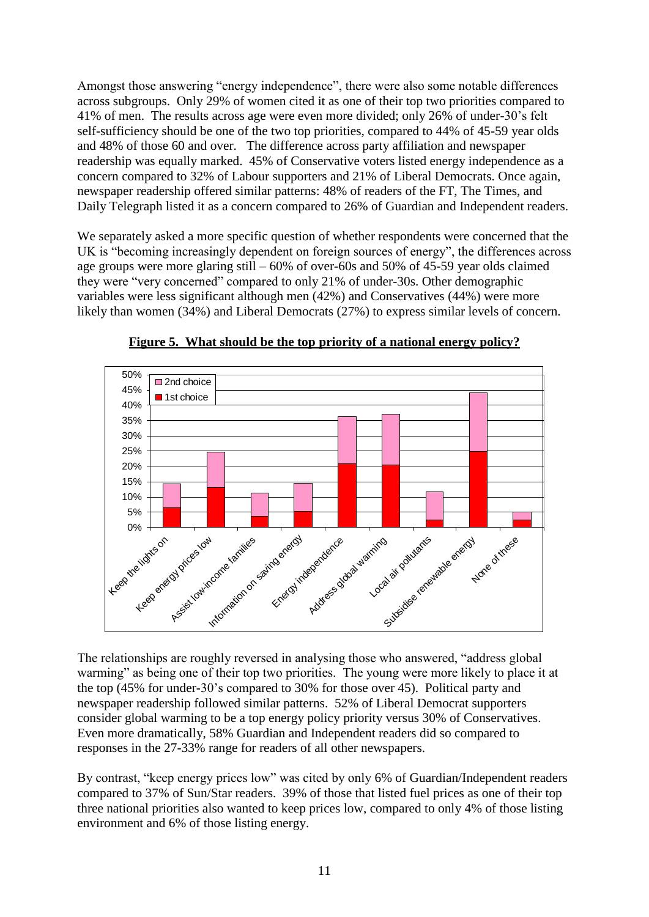Amongst those answering "energy independence", there were also some notable differences across subgroups. Only 29% of women cited it as one of their top two priorities compared to 41% of men. The results across age were even more divided; only 26% of under-30"s felt self-sufficiency should be one of the two top priorities, compared to 44% of 45-59 year olds and 48% of those 60 and over. The difference across party affiliation and newspaper readership was equally marked. 45% of Conservative voters listed energy independence as a concern compared to 32% of Labour supporters and 21% of Liberal Democrats. Once again, newspaper readership offered similar patterns: 48% of readers of the FT, The Times, and Daily Telegraph listed it as a concern compared to 26% of Guardian and Independent readers.

We separately asked a more specific question of whether respondents were concerned that the UK is "becoming increasingly dependent on foreign sources of energy", the differences across age groups were more glaring still – 60% of over-60s and 50% of 45-59 year olds claimed they were "very concerned" compared to only 21% of under-30s. Other demographic variables were less significant although men (42%) and Conservatives (44%) were more likely than women (34%) and Liberal Democrats (27%) to express similar levels of concern.



**Figure 5. What should be the top priority of a national energy policy?**

The relationships are roughly reversed in analysing those who answered, "address global warming" as being one of their top two priorities. The young were more likely to place it at the top (45% for under-30"s compared to 30% for those over 45). Political party and newspaper readership followed similar patterns. 52% of Liberal Democrat supporters consider global warming to be a top energy policy priority versus 30% of Conservatives. Even more dramatically, 58% Guardian and Independent readers did so compared to responses in the 27-33% range for readers of all other newspapers.

By contrast, "keep energy prices low" was cited by only 6% of Guardian/Independent readers compared to 37% of Sun/Star readers. 39% of those that listed fuel prices as one of their top three national priorities also wanted to keep prices low, compared to only 4% of those listing environment and 6% of those listing energy.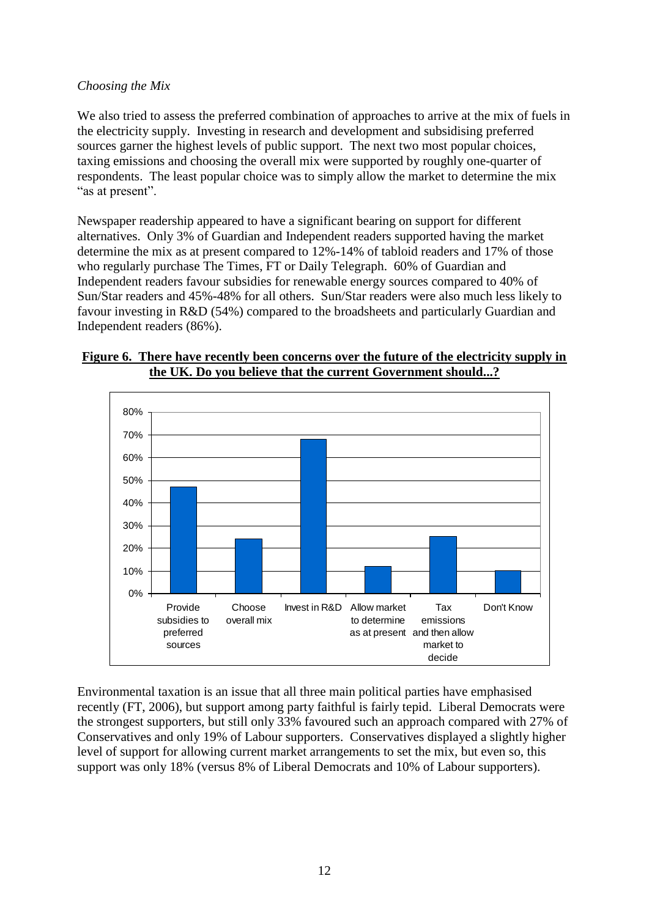### *Choosing the Mix*

We also tried to assess the preferred combination of approaches to arrive at the mix of fuels in the electricity supply. Investing in research and development and subsidising preferred sources garner the highest levels of public support. The next two most popular choices, taxing emissions and choosing the overall mix were supported by roughly one-quarter of respondents. The least popular choice was to simply allow the market to determine the mix "as at present".

Newspaper readership appeared to have a significant bearing on support for different alternatives. Only 3% of Guardian and Independent readers supported having the market determine the mix as at present compared to 12%-14% of tabloid readers and 17% of those who regularly purchase The Times, FT or Daily Telegraph. 60% of Guardian and Independent readers favour subsidies for renewable energy sources compared to 40% of Sun/Star readers and 45%-48% for all others. Sun/Star readers were also much less likely to favour investing in R&D (54%) compared to the broadsheets and particularly Guardian and Independent readers (86%).

## **Figure 6. There have recently been concerns over the future of the electricity supply in the UK. Do you believe that the current Government should...?**



Environmental taxation is an issue that all three main political parties have emphasised recently (FT, 2006), but support among party faithful is fairly tepid. Liberal Democrats were the strongest supporters, but still only 33% favoured such an approach compared with 27% of Conservatives and only 19% of Labour supporters. Conservatives displayed a slightly higher level of support for allowing current market arrangements to set the mix, but even so, this support was only 18% (versus 8% of Liberal Democrats and 10% of Labour supporters).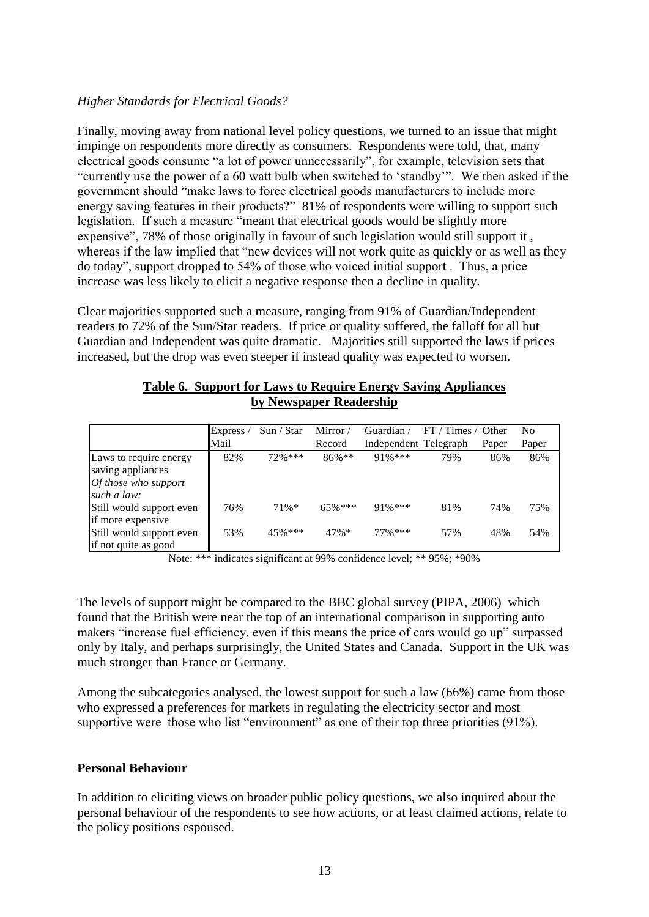### *Higher Standards for Electrical Goods?*

Finally, moving away from national level policy questions, we turned to an issue that might impinge on respondents more directly as consumers. Respondents were told, that, many electrical goods consume "a lot of power unnecessarily", for example, television sets that "currently use the power of a 60 watt bulb when switched to "standby"". We then asked if the government should "make laws to force electrical goods manufacturers to include more energy saving features in their products?" 81% of respondents were willing to support such legislation. If such a measure "meant that electrical goods would be slightly more expensive", 78% of those originally in favour of such legislation would still support it , whereas if the law implied that "new devices will not work quite as quickly or as well as they do today", support dropped to 54% of those who voiced initial support . Thus, a price increase was less likely to elicit a negative response then a decline in quality.

Clear majorities supported such a measure, ranging from 91% of Guardian/Independent readers to 72% of the Sun/Star readers. If price or quality suffered, the falloff for all but Guardian and Independent was quite dramatic. Majorities still supported the laws if prices increased, but the drop was even steeper if instead quality was expected to worsen.

|                                                                                    | Express / | Sun / Star | Mirror/    | Guardian /            | FT / Times / Other |       | No    |
|------------------------------------------------------------------------------------|-----------|------------|------------|-----------------------|--------------------|-------|-------|
|                                                                                    | Mail      |            | Record     | Independent Telegraph |                    | Paper | Paper |
| Laws to require energy<br>saving appliances<br>Of those who support<br>such a law: | 82%       | $72%$ ***  | $86\%**$   | $91\%$ ***            | 79%                | 86%   | 86%   |
| Still would support even<br>if more expensive                                      | 76%       | $71\%*$    | $65\%$ *** | $91\%$ ***            | 81%                | 74%   | 75%   |
| Still would support even<br>if not quite as good                                   | 53%       | $45%***$   | $47\%*$    | $77\%$ ***            | 57%                | 48%   | 54%   |

#### **Table 6. Support for Laws to Require Energy Saving Appliances by Newspaper Readership**

Note: \*\*\* indicates significant at 99% confidence level; \*\* 95%; \*90%

The levels of support might be compared to the BBC global survey (PIPA, 2006) which found that the British were near the top of an international comparison in supporting auto makers "increase fuel efficiency, even if this means the price of cars would go up" surpassed only by Italy, and perhaps surprisingly, the United States and Canada. Support in the UK was much stronger than France or Germany.

Among the subcategories analysed, the lowest support for such a law (66%) came from those who expressed a preferences for markets in regulating the electricity sector and most supportive were those who list "environment" as one of their top three priorities (91%).

#### **Personal Behaviour**

In addition to eliciting views on broader public policy questions, we also inquired about the personal behaviour of the respondents to see how actions, or at least claimed actions, relate to the policy positions espoused.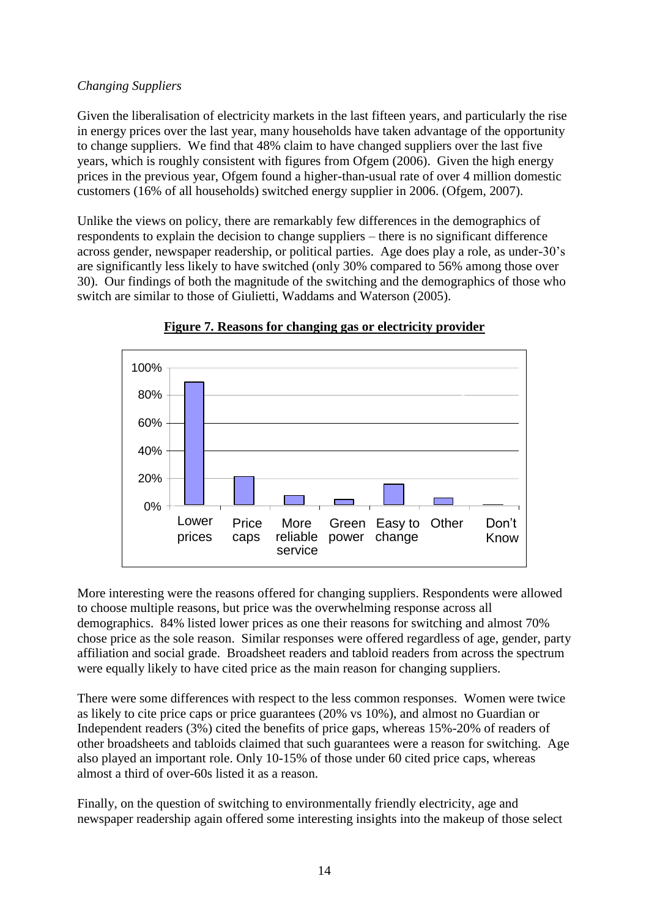### *Changing Suppliers*

Given the liberalisation of electricity markets in the last fifteen years, and particularly the rise in energy prices over the last year, many households have taken advantage of the opportunity to change suppliers. We find that 48% claim to have changed suppliers over the last five years, which is roughly consistent with figures from Ofgem (2006). Given the high energy prices in the previous year, Ofgem found a higher-than-usual rate of over 4 million domestic customers (16% of all households) switched energy supplier in 2006. (Ofgem, 2007).

Unlike the views on policy, there are remarkably few differences in the demographics of respondents to explain the decision to change suppliers – there is no significant difference across gender, newspaper readership, or political parties. Age does play a role, as under-30"s are significantly less likely to have switched (only 30% compared to 56% among those over 30). Our findings of both the magnitude of the switching and the demographics of those who switch are similar to those of Giulietti, Waddams and Waterson (2005).





More interesting were the reasons offered for changing suppliers. Respondents were allowed to choose multiple reasons, but price was the overwhelming response across all demographics. 84% listed lower prices as one their reasons for switching and almost 70% chose price as the sole reason. Similar responses were offered regardless of age, gender, party affiliation and social grade. Broadsheet readers and tabloid readers from across the spectrum were equally likely to have cited price as the main reason for changing suppliers.

There were some differences with respect to the less common responses. Women were twice as likely to cite price caps or price guarantees (20% vs 10%), and almost no Guardian or Independent readers (3%) cited the benefits of price gaps, whereas 15%-20% of readers of other broadsheets and tabloids claimed that such guarantees were a reason for switching. Age also played an important role. Only 10-15% of those under 60 cited price caps, whereas almost a third of over-60s listed it as a reason.

Finally, on the question of switching to environmentally friendly electricity, age and newspaper readership again offered some interesting insights into the makeup of those select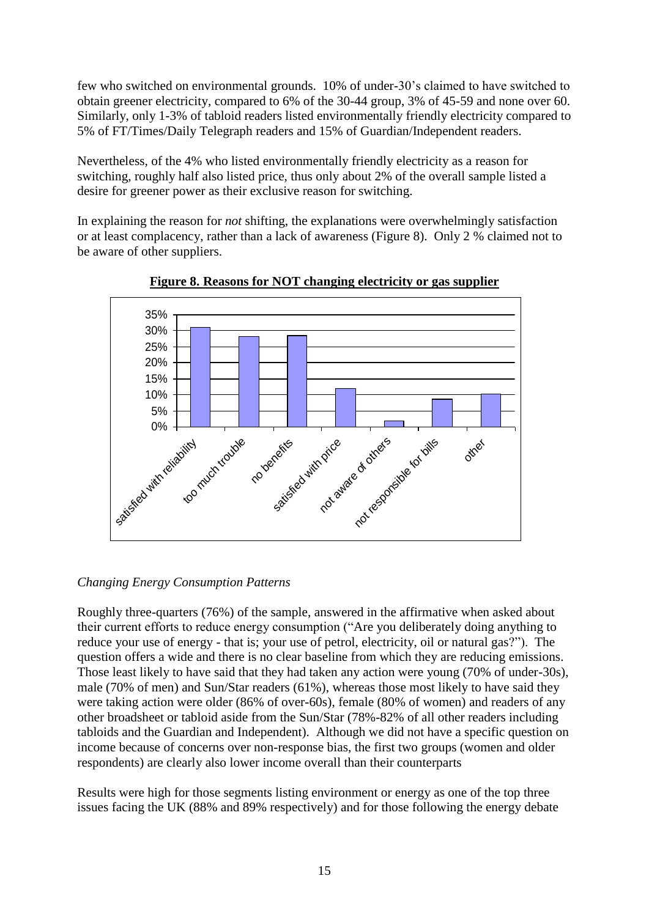few who switched on environmental grounds. 10% of under-30"s claimed to have switched to obtain greener electricity, compared to 6% of the 30-44 group, 3% of 45-59 and none over 60. Similarly, only 1-3% of tabloid readers listed environmentally friendly electricity compared to 5% of FT/Times/Daily Telegraph readers and 15% of Guardian/Independent readers.

Nevertheless, of the 4% who listed environmentally friendly electricity as a reason for switching, roughly half also listed price, thus only about 2% of the overall sample listed a desire for greener power as their exclusive reason for switching.

In explaining the reason for *not* shifting, the explanations were overwhelmingly satisfaction or at least complacency, rather than a lack of awareness (Figure 8). Only 2 % claimed not to be aware of other suppliers.



**Figure 8. Reasons for NOT changing electricity or gas supplier**

## *Changing Energy Consumption Patterns*

Roughly three-quarters (76%) of the sample, answered in the affirmative when asked about their current efforts to reduce energy consumption ("Are you deliberately doing anything to reduce your use of energy - that is; your use of petrol, electricity, oil or natural gas?"). The question offers a wide and there is no clear baseline from which they are reducing emissions. Those least likely to have said that they had taken any action were young (70% of under-30s), male (70% of men) and Sun/Star readers (61%), whereas those most likely to have said they were taking action were older (86% of over-60s), female (80% of women) and readers of any other broadsheet or tabloid aside from the Sun/Star (78%-82% of all other readers including tabloids and the Guardian and Independent). Although we did not have a specific question on income because of concerns over non-response bias, the first two groups (women and older respondents) are clearly also lower income overall than their counterparts

Results were high for those segments listing environment or energy as one of the top three issues facing the UK (88% and 89% respectively) and for those following the energy debate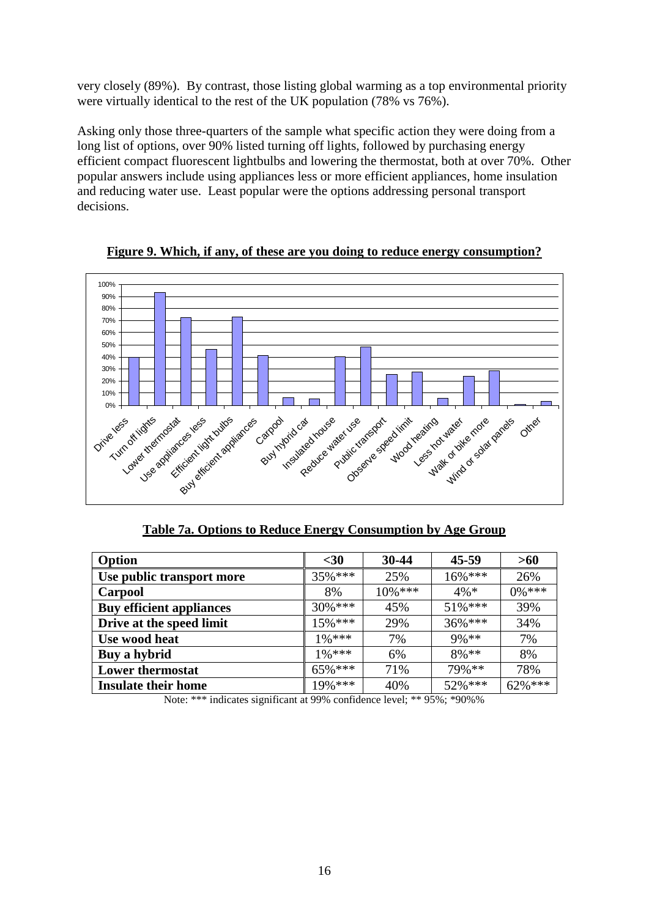very closely (89%). By contrast, those listing global warming as a top environmental priority were virtually identical to the rest of the UK population (78% vs 76%).

Asking only those three-quarters of the sample what specific action they were doing from a long list of options, over 90% listed turning off lights, followed by purchasing energy efficient compact fluorescent lightbulbs and lowering the thermostat, both at over 70%. Other popular answers include using appliances less or more efficient appliances, home insulation and reducing water use. Least popular were the options addressing personal transport decisions.





**Table 7a. Options to Reduce Energy Consumption by Age Group**

| Option                          | $30$       | $30 - 44$  | 45-59      | >60       |
|---------------------------------|------------|------------|------------|-----------|
| Use public transport more       | $35\%***$  | 25%        | $16\%$ *** | 26%       |
| Carpool                         | 8%         | $10\%$ *** | $4\% *$    | $0\%$ *** |
| <b>Buy efficient appliances</b> | $30\%***$  | 45%        | $51\%***$  | 39%       |
| Drive at the speed limit        | $15\%$ *** | 29%        | $36\%***$  | 34%       |
| Use wood heat                   | $1\%$ ***  | 7%         | $9\%**$    | 7%        |
| Buy a hybrid                    | $1\%***$   | 6%         | $8%**$     | 8%        |
| <b>Lower thermostat</b>         | $65\%***$  | 71%        | 79% **     | 78%       |
| <b>Insulate their home</b>      | $19\%$ *** | 40%        | $52\%***$  | $62\%***$ |

Note: \*\*\* indicates significant at 99% confidence level; \*\* 95%; \*90%%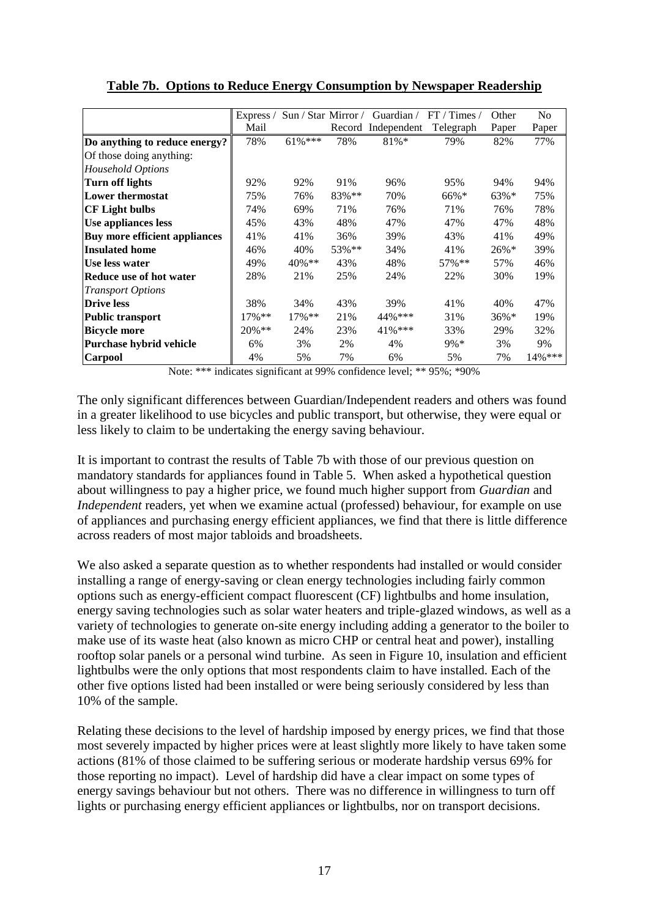|                               | Express / |           |          | Sun / Star Mirror / Guardian / | FT / Times / | Other   | N <sub>0</sub> |
|-------------------------------|-----------|-----------|----------|--------------------------------|--------------|---------|----------------|
|                               | Mail      |           |          | Record Independent             | Telegraph    | Paper   | Paper          |
| Do anything to reduce energy? | 78%       | $61\%***$ | 78%      | $81\% *$                       | 79%          | 82%     | 77%            |
| Of those doing anything:      |           |           |          |                                |              |         |                |
| <b>Household Options</b>      |           |           |          |                                |              |         |                |
| <b>Turn off lights</b>        | 92%       | 92%       | 91%      | 96%                            | 95%          | 94%     | 94%            |
| Lower thermostat              | 75%       | 76%       | $83\%**$ | 70%                            | $66\%*$      | $63\%*$ | 75%            |
| <b>CF Light bulbs</b>         | 74%       | 69%       | 71%      | 76%                            | 71%          | 76%     | 78%            |
| Use appliances less           | 45%       | 43%       | 48%      | 47%                            | 47%          | 47%     | 48%            |
| Buy more efficient appliances | 41%       | 41%       | 36%      | 39%                            | 43%          | 41%     | 49%            |
| Insulated home                | 46%       | 40%       | 53%**    | 34%                            | 41%          | $26\%*$ | 39%            |
| Use less water                | 49%       | $40\%**$  | 43%      | 48%                            | $57\%$ **    | 57%     | 46%            |
| Reduce use of hot water       | 28%       | 21%       | 25%      | 24%                            | 22%          | 30%     | 19%            |
| <b>Transport Options</b>      |           |           |          |                                |              |         |                |
| <b>Drive less</b>             | 38%       | 34%       | 43%      | 39%                            | 41%          | 40%     | 47%            |
| <b>Public transport</b>       | $17\%$ ** | $17\%$ ** | 21%      | 44%***                         | 31%          | $36\%*$ | 19%            |
| <b>Bicycle more</b>           | $20\%$ ** | 24%       | 23%      | $41\%$ ***                     | 33%          | 29%     | 32%            |
| Purchase hybrid vehicle       | 6%        | 3%        | 2%       | 4%                             | $9\% *$      | 3%      | 9%             |
| <b>Carpool</b>                | 4%        | 5%        | 7%       | 6%                             | 5%           | 7%      | 14%***         |

**Table 7b. Options to Reduce Energy Consumption by Newspaper Readership**

Note: \*\*\* indicates significant at 99% confidence level; \*\* 95%; \*90%

The only significant differences between Guardian/Independent readers and others was found in a greater likelihood to use bicycles and public transport, but otherwise, they were equal or less likely to claim to be undertaking the energy saving behaviour.

It is important to contrast the results of Table 7b with those of our previous question on mandatory standards for appliances found in Table 5. When asked a hypothetical question about willingness to pay a higher price, we found much higher support from *Guardian* and *Independent* readers, yet when we examine actual (professed) behaviour, for example on use of appliances and purchasing energy efficient appliances, we find that there is little difference across readers of most major tabloids and broadsheets.

We also asked a separate question as to whether respondents had installed or would consider installing a range of energy-saving or clean energy technologies including fairly common options such as energy-efficient compact fluorescent (CF) lightbulbs and home insulation, energy saving technologies such as solar water heaters and triple-glazed windows, as well as a variety of technologies to generate on-site energy including adding a generator to the boiler to make use of its waste heat (also known as micro CHP or central heat and power), installing rooftop solar panels or a personal wind turbine. As seen in Figure 10, insulation and efficient lightbulbs were the only options that most respondents claim to have installed. Each of the other five options listed had been installed or were being seriously considered by less than 10% of the sample.

Relating these decisions to the level of hardship imposed by energy prices, we find that those most severely impacted by higher prices were at least slightly more likely to have taken some actions (81% of those claimed to be suffering serious or moderate hardship versus 69% for those reporting no impact). Level of hardship did have a clear impact on some types of energy savings behaviour but not others. There was no difference in willingness to turn off lights or purchasing energy efficient appliances or lightbulbs, nor on transport decisions.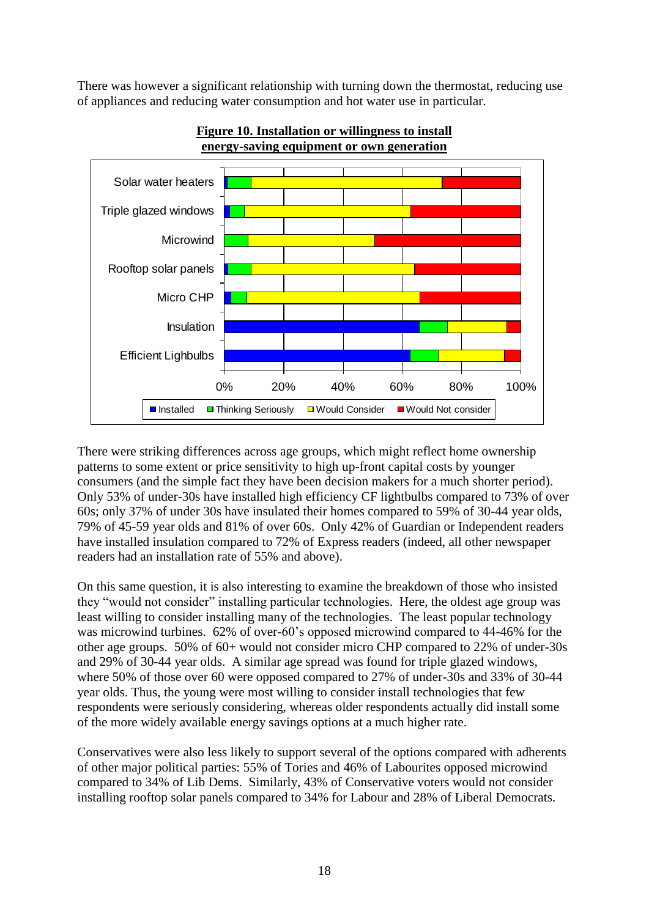There was however a significant relationship with turning down the thermostat, reducing use of appliances and reducing water consumption and hot water use in particular.



**Figure 10. Installation or willingness to install energy-saving equipment or own generation**

There were striking differences across age groups, which might reflect home ownership patterns to some extent or price sensitivity to high up-front capital costs by younger consumers (and the simple fact they have been decision makers for a much shorter period). Only 53% of under-30s have installed high efficiency CF lightbulbs compared to 73% of over 60s; only 37% of under 30s have insulated their homes compared to 59% of 30-44 year olds, 79% of 45-59 year olds and 81% of over 60s. Only 42% of Guardian or Independent readers have installed insulation compared to 72% of Express readers (indeed, all other newspaper readers had an installation rate of 55% and above).

On this same question, it is also interesting to examine the breakdown of those who insisted they "would not consider" installing particular technologies. Here, the oldest age group was least willing to consider installing many of the technologies. The least popular technology was microwind turbines. 62% of over-60's opposed microwind compared to 44-46% for the other age groups. 50% of 60+ would not consider micro CHP compared to 22% of under-30s and 29% of 30-44 year olds. A similar age spread was found for triple glazed windows, where 50% of those over 60 were opposed compared to 27% of under-30s and 33% of 30-44 year olds. Thus, the young were most willing to consider install technologies that few respondents were seriously considering, whereas older respondents actually did install some of the more widely available energy savings options at a much higher rate.

Conservatives were also less likely to support several of the options compared with adherents of other major political parties: 55% of Tories and 46% of Labourites opposed microwind compared to 34% of Lib Dems. Similarly, 43% of Conservative voters would not consider installing rooftop solar panels compared to 34% for Labour and 28% of Liberal Democrats.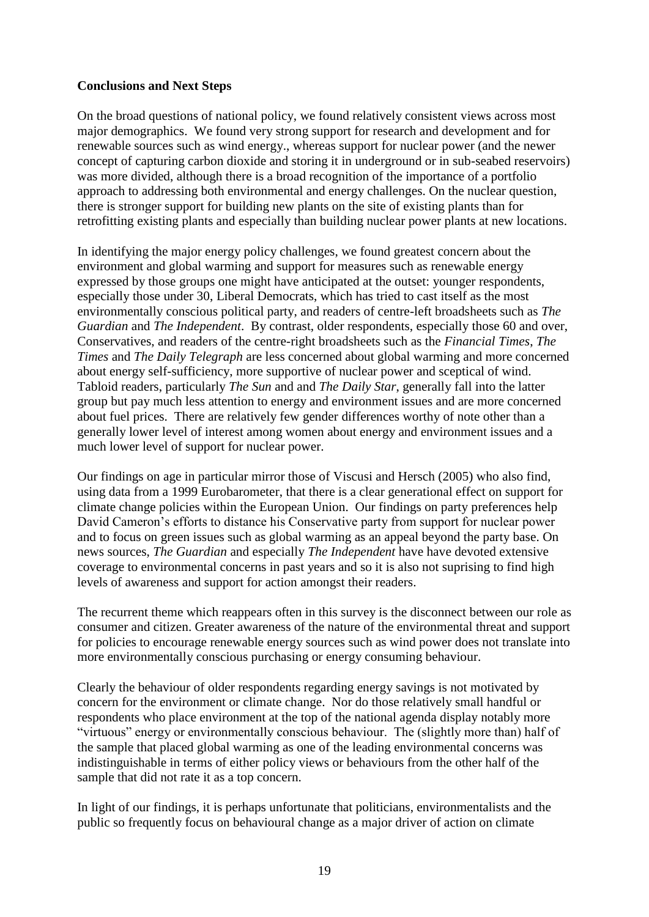### **Conclusions and Next Steps**

On the broad questions of national policy, we found relatively consistent views across most major demographics. We found very strong support for research and development and for renewable sources such as wind energy., whereas support for nuclear power (and the newer concept of capturing carbon dioxide and storing it in underground or in sub-seabed reservoirs) was more divided, although there is a broad recognition of the importance of a portfolio approach to addressing both environmental and energy challenges. On the nuclear question, there is stronger support for building new plants on the site of existing plants than for retrofitting existing plants and especially than building nuclear power plants at new locations.

In identifying the major energy policy challenges, we found greatest concern about the environment and global warming and support for measures such as renewable energy expressed by those groups one might have anticipated at the outset: younger respondents, especially those under 30, Liberal Democrats, which has tried to cast itself as the most environmentally conscious political party, and readers of centre-left broadsheets such as *The Guardian* and *The Independent*. By contrast, older respondents, especially those 60 and over, Conservatives, and readers of the centre-right broadsheets such as the *Financial Times*, *The Times* and *The Daily Telegraph* are less concerned about global warming and more concerned about energy self-sufficiency, more supportive of nuclear power and sceptical of wind. Tabloid readers, particularly *The Sun* and and *The Daily Star*, generally fall into the latter group but pay much less attention to energy and environment issues and are more concerned about fuel prices. There are relatively few gender differences worthy of note other than a generally lower level of interest among women about energy and environment issues and a much lower level of support for nuclear power.

Our findings on age in particular mirror those of Viscusi and Hersch (2005) who also find, using data from a 1999 Eurobarometer, that there is a clear generational effect on support for climate change policies within the European Union. Our findings on party preferences help David Cameron"s efforts to distance his Conservative party from support for nuclear power and to focus on green issues such as global warming as an appeal beyond the party base. On news sources, *The Guardian* and especially *The Independent* have have devoted extensive coverage to environmental concerns in past years and so it is also not suprising to find high levels of awareness and support for action amongst their readers.

The recurrent theme which reappears often in this survey is the disconnect between our role as consumer and citizen. Greater awareness of the nature of the environmental threat and support for policies to encourage renewable energy sources such as wind power does not translate into more environmentally conscious purchasing or energy consuming behaviour.

Clearly the behaviour of older respondents regarding energy savings is not motivated by concern for the environment or climate change. Nor do those relatively small handful or respondents who place environment at the top of the national agenda display notably more "virtuous" energy or environmentally conscious behaviour. The (slightly more than) half of the sample that placed global warming as one of the leading environmental concerns was indistinguishable in terms of either policy views or behaviours from the other half of the sample that did not rate it as a top concern.

In light of our findings, it is perhaps unfortunate that politicians, environmentalists and the public so frequently focus on behavioural change as a major driver of action on climate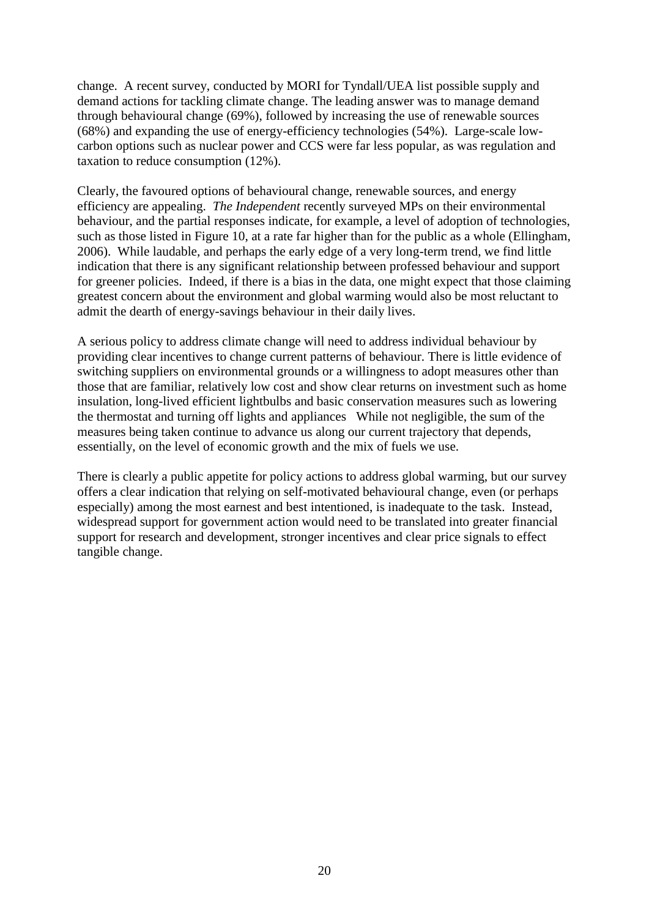change. A recent survey, conducted by MORI for Tyndall/UEA list possible supply and demand actions for tackling climate change. The leading answer was to manage demand through behavioural change (69%), followed by increasing the use of renewable sources (68%) and expanding the use of energy-efficiency technologies (54%). Large-scale lowcarbon options such as nuclear power and CCS were far less popular, as was regulation and taxation to reduce consumption (12%).

Clearly, the favoured options of behavioural change, renewable sources, and energy efficiency are appealing. *The Independent* recently surveyed MPs on their environmental behaviour, and the partial responses indicate, for example, a level of adoption of technologies, such as those listed in Figure 10, at a rate far higher than for the public as a whole (Ellingham, 2006). While laudable, and perhaps the early edge of a very long-term trend, we find little indication that there is any significant relationship between professed behaviour and support for greener policies. Indeed, if there is a bias in the data, one might expect that those claiming greatest concern about the environment and global warming would also be most reluctant to admit the dearth of energy-savings behaviour in their daily lives.

A serious policy to address climate change will need to address individual behaviour by providing clear incentives to change current patterns of behaviour. There is little evidence of switching suppliers on environmental grounds or a willingness to adopt measures other than those that are familiar, relatively low cost and show clear returns on investment such as home insulation, long-lived efficient lightbulbs and basic conservation measures such as lowering the thermostat and turning off lights and appliances While not negligible, the sum of the measures being taken continue to advance us along our current trajectory that depends, essentially, on the level of economic growth and the mix of fuels we use.

There is clearly a public appetite for policy actions to address global warming, but our survey offers a clear indication that relying on self-motivated behavioural change, even (or perhaps especially) among the most earnest and best intentioned, is inadequate to the task. Instead, widespread support for government action would need to be translated into greater financial support for research and development, stronger incentives and clear price signals to effect tangible change.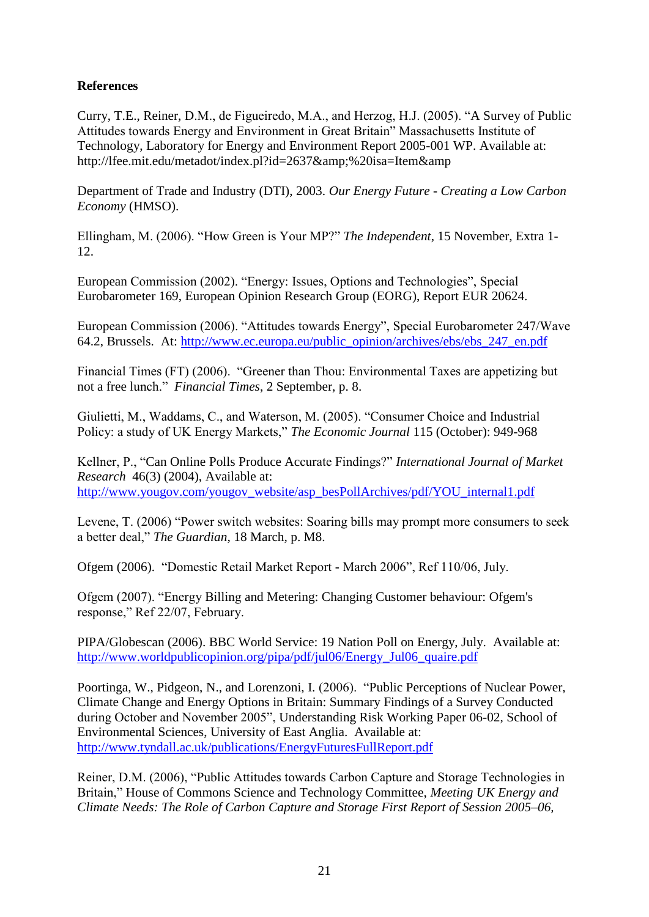## **References**

Curry, T.E., Reiner, D.M., de Figueiredo, M.A., and Herzog, H.J. (2005). "A Survey of Public Attitudes towards Energy and Environment in Great Britain" Massachusetts Institute of Technology, Laboratory for Energy and Environment Report 2005-001 WP. Available at: http://lfee.mit.edu/metadot/index.pl?id=2637&%20isa=Item&amp

Department of Trade and Industry (DTI), 2003. *Our Energy Future - Creating a Low Carbon Economy* (HMSO).

Ellingham, M. (2006). "How Green is Your MP?" *The Independent*, 15 November, Extra 1- 12.

European Commission (2002). "Energy: Issues, Options and Technologies", Special Eurobarometer 169, European Opinion Research Group (EORG), Report EUR 20624.

European Commission (2006). "Attitudes towards Energy", Special Eurobarometer 247/Wave 64.2, Brussels. At: [http://www.ec.europa.eu/public\\_opinion/archives/ebs/ebs\\_247\\_en.pdf](http://www.ec.europa.eu/public_opinion/archives/ebs/ebs_247_en.pdf)

Financial Times (FT) (2006). "Greener than Thou: Environmental Taxes are appetizing but not a free lunch." *Financial Times*, 2 September, p. 8.

Giulietti, M., Waddams, C., and Waterson, M. (2005). "Consumer Choice and Industrial Policy: a study of UK Energy Markets," *The Economic Journal* 115 (October): 949-968

Kellner, P., "Can Online Polls Produce Accurate Findings?" *International Journal of Market Research* 46(3) (2004), Available at: [http://www.yougov.com/yougov\\_website/asp\\_besPollArchives/pdf/YOU\\_internal1.pdf](http://www.yougov.com/yougov_website/asp_besPollArchives/pdf/YOU_internal1.pdf)

Levene, T. (2006) "Power switch websites: Soaring bills may prompt more consumers to seek a better deal," *The Guardian*, 18 March, p. M8.

Ofgem (2006). "Domestic Retail Market Report - March 2006", Ref 110/06, July.

Ofgem (2007). "Energy Billing and Metering: Changing Customer behaviour: Ofgem's response," Ref 22/07, February.

PIPA/Globescan (2006). BBC World Service: 19 Nation Poll on Energy, July. Available at: [http://www.worldpublicopinion.org/pipa/pdf/jul06/Energy\\_Jul06\\_quaire.pdf](http://www.worldpublicopinion.org/pipa/pdf/jul06/Energy_Jul06_quaire.pdf)

Poortinga, W., Pidgeon, N., and Lorenzoni, I. (2006). "Public Perceptions of Nuclear Power, Climate Change and Energy Options in Britain: Summary Findings of a Survey Conducted during October and November 2005", Understanding Risk Working Paper 06-02, School of Environmental Sciences, University of East Anglia. Available at: <http://www.tyndall.ac.uk/publications/EnergyFuturesFullReport.pdf>

Reiner, D.M. (2006), "Public Attitudes towards Carbon Capture and Storage Technologies in Britain," House of Commons Science and Technology Committee, *Meeting UK Energy and Climate Needs: The Role of Carbon Capture and Storage First Report of Session 2005–06,*